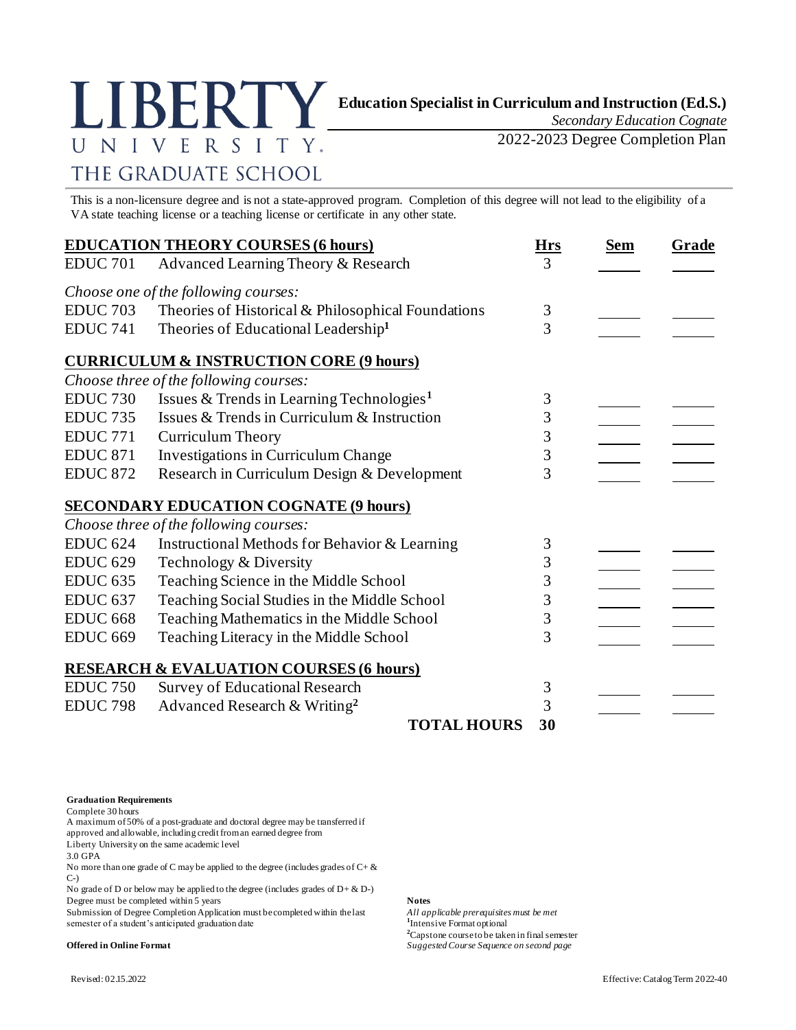

*Secondary Education Cognate*

2022-2023 Degree Completion Plan

## THE GRADUATE SCHOOL

This is a non-licensure degree and is not a state-approved program. Completion of this degree will not lead to the eligibility of a VA state teaching license or a teaching license or certificate in any other state.

| <b>EDUCATION THEORY COURSES (6 hours)</b> |                                                             |    | <b>Sem</b> | Grade |
|-------------------------------------------|-------------------------------------------------------------|----|------------|-------|
| <b>EDUC 701</b>                           | Advanced Learning Theory & Research                         | 3  |            |       |
|                                           | Choose one of the following courses:                        |    |            |       |
|                                           | EDUC 703 Theories of Historical & Philosophical Foundations | 3  |            |       |
| EDUC 741                                  | Theories of Educational Leadership <sup>1</sup>             | 3  |            |       |
|                                           | <b>CURRICULUM &amp; INSTRUCTION CORE (9 hours)</b>          |    |            |       |
|                                           | Choose three of the following courses:                      |    |            |       |
| <b>EDUC 730</b>                           | Issues & Trends in Learning Technologies <sup>1</sup>       | 3  |            |       |
| <b>EDUC 735</b>                           | Issues & Trends in Curriculum & Instruction                 | 3  |            |       |
| <b>EDUC 771</b>                           | Curriculum Theory                                           | 3  |            |       |
| <b>EDUC 871</b>                           | <b>Investigations in Curriculum Change</b>                  | 3  |            |       |
| <b>EDUC 872</b>                           | Research in Curriculum Design & Development                 | 3  |            |       |
|                                           | <b>SECONDARY EDUCATION COGNATE (9 hours)</b>                |    |            |       |
|                                           | Choose three of the following courses:                      |    |            |       |
| <b>EDUC 624</b>                           | Instructional Methods for Behavior & Learning               | 3  |            |       |
| <b>EDUC 629</b>                           | Technology & Diversity                                      | 3  |            |       |
| <b>EDUC 635</b>                           | Teaching Science in the Middle School                       | 3  |            |       |
| <b>EDUC 637</b>                           | Teaching Social Studies in the Middle School                | 3  |            |       |
| <b>EDUC 668</b>                           | Teaching Mathematics in the Middle School                   | 3  |            |       |
| <b>EDUC 669</b>                           | Teaching Literacy in the Middle School                      | 3  |            |       |
|                                           | <b>RESEARCH &amp; EVALUATION COURSES (6 hours)</b>          |    |            |       |
| <b>EDUC 750</b>                           | <b>Survey of Educational Research</b>                       | 3  |            |       |
| <b>EDUC 798</b>                           | Advanced Research & Writing <sup>2</sup>                    | 3  |            |       |
|                                           | <b>TOTAL HOURS</b>                                          | 30 |            |       |

**Graduation Requirements**

Complete 30 hours

A maximum of 50% of a post-graduate and doctoral degree may be transferred if approved and allowable, including credit from an earned degree from

Liberty University on the same academic level

3.0 GPA

No more than one grade of C may be applied to the degree (includes grades of  $C + \&$ C-)

No grade of D or below may be applied to the degree (includes grades of  $D + \& D$ -) Degree must be completed within 5 years **Notes**

Submission of Degree Completion Application must be completed within the last *All applicable prerequisites must be met* semester of a student's anticipated graduation date

<sup>1</sup>Intensive Format optional **<sup>2</sup>**Capstone course to be taken in final semester **Offered in Online Format** *Suggested Course Sequence on second page*